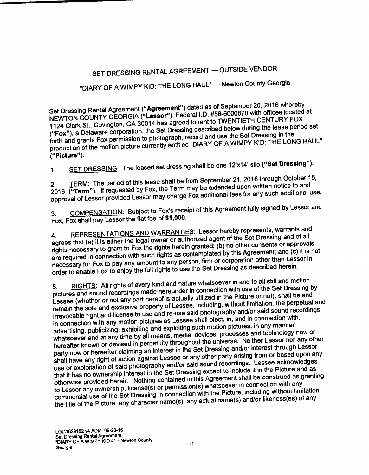## SET DRESSING RENTAL AGREEMENT— OUTSIDE VENDOR

## DIARY OF <sup>A</sup> WIMPY KID: THE LONG HAUL" — Newton County Georgia

Set Dressing Rental Agreement ("Agreement") dated as of September 20, 2016 whereby<br>NEWTON COUNTY GEORGIA ("Lessor"), Federal I.D. #58-6000870 with offices located<br>1124 Clark St., Covington, GA 30014 has agreed to rent to T NEWTON COUNTY GEORGIA ("Lessor"), Federal I.D. #58-6000870 with offices located at 1124 Clark St., Covington, GA  $30014$  has agreed to rent to the leave during the lease period Fox"), a Delaware corporation, the Set Dressing described below during the Set Dressing in the forth and grants Fox permission to photograph, record and use the SMIMPY KID: THE LON production of the motion picture currently entitled "DIARY" OF A WIMPY KID: THE LONG HAUL THE LONG HAUL THE LO Picture").

1. SET DRESSING: The leased set dressing shall be one 12'x14' silo ("**Set Dressing**").<br>2. TERM: The period of this lease shall be from September 21, 2016 through October 15, 2. TERM: The period of this lease shall be from September 21, 2016 through October 15, 2016 through October 15,  $\frac{1}{2}$ ,  $\frac{1}{2}$ 2016 (**"Term"**). If approval of Lessor provided Lessor may charge Fox additional fees for any such additional sec.

3. <u>COMPENSATION</u>: Subject to F⊂<br>Fox, Fox shall pay Lessor the flat fee of COMPENSATION: Subject to Fox's receipt of this Agreement fully signed by Lessor and

4. REPRESENTATIONS AND WARRANTIES: Lessor hereby represents, warrants and the agrees that (a) it is either the legal owner or authorized agent of the Set Dressing and or approva rights necessary to grant to Fox the rights herein granted; (b) no other consents or approvals are required in connection with such rights as contemplated by this Agreement; and (c) it is not necessary for Fox to pay any amount to any person, firm or corporation other than Lessor in order to enable Fox to enjoy the full rights to use the Set Dressing as described herein.

5. RIGHTS: All rights of every kind and nature whatsoever in and to all still and motion pictures and sound recordings made hereunder in connection with a Birture or not), shall be and Lessee (whether or not any part hereof is actually utilized in the Picture or not), shall be and remain the sole and exclusive property of Lessee, including, without limitation, the perpetual and irrevocable right and license to use and re-use said photography and/or said sound recordings in connection with any motion pictures as Lessee shall elect, in, and in connection with,<br>advertising, publicizing, exhibiting and exploiting such motion pictures, in any manner advertising, publicizing, exhibiting and exploring such the expresses and technology whatsoever and at any time by all means, media, devices, processes and technology of hereafter known or devised in perpetuity throughout the universe. Neither Lessor nor any other<br>party now or hereafter claiming an interest in the Set Dressing and/or interest through Lessor party now or hereafter claiming an interest in the Set Or any other party arising from or based upon an shall have any right of action against Lessee of any other party conditions. I essee acknowledges use or exploitation of said photography and/or said sound recordings. Lessee acknowledges that it has no ownership interest in the Set Dressing except to include it in the Picture and as otherwise provided herein. Nothing contained in this Agreement shall be construed as granting<br>to Lessor any ownership, license(s) or permission(s) whatsoever in connection with any commercial use of the Set Dressing in connection with the Picture, including without limitation, the title of the Picture, any character name(s), any actual name(s) and/or likeness(es) of any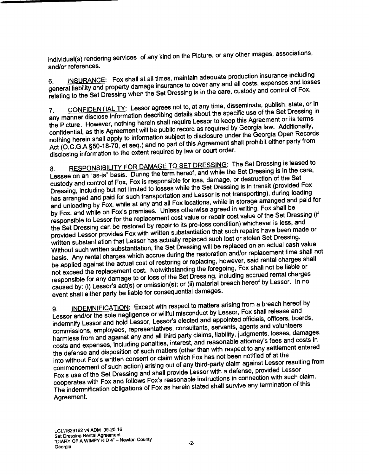individual(s) rendering services of any kind on the Picture, or any other images, associations,

and/or references.<br>6. INSURANCE: Fox shall at all times, maintain adequate production insurance including 6. INSURANCE: Fox shall at all times, maintain adequate production insurance including general liability and property damage insurance to cover any any and control of Fox. relating to the Set Dressing when the Set Dressing is in the care, custody and control of Fox.<br>7. CONFIDENTIALITY: Lessor agrees not to, at any time, disseminate, publish, state, or in

any manner disclose information describing details about the specific use of the Set Dressing in the Picture. However, nothing herein shall require Lessor to keep this Agreement or its terms confidential, as this Agreement will be public record as required by Georgia law. Additionally, nothing herein shall apply to in confidential, as this Agreement will be public record as required by Georgia law. Additionally, nothing herein shall apply to information subject to disclosure under the Georgia Open Records and Act (O.C.G.A<br>Act (O.C.G.A§50-18-70, et seq.) and no part of this Agreement shall prohibit either party from disclosing information to the extent required by law or court order.

RESPONSIBILITY FOR DAMAGE TO SET DRESSING: The Set Dressing is leased to Lessee on an "as-is" basis. During the term hereof, and while the Set Dressing is in the care, custody and control of Fox, Fox is responsible for loss, damage, or destruction of the Set Dressing, including but not limited to losses while the Set Dressing is in transit (provided Fox Dressing, including but not limited to losses while the Set Dressing is increased and paid for such transportation and Lessor is not transporting), during loading<br>has arranged and paid for such transportation and Lessor is and unloading by Fox, while at any and all Fox locations, while in storage arranged and paid for<br>by Fox, and while on Fox's premises. Unless otherwise agreed in writing, Fox shall be responsible to Lessor for the replacement cost value or repair cost value of the Set Dressing (if the Set Dressing can be restored by repair to its pre-loss condition) whichever is less, and the Set Dressing can be restored by repair to its pre-loss condition) where the been made provided Lessor provides Fox with written substantiation that such as false Set Dressing written substantiation that Lessor has actually replaced such lost or stolen Set Dressing. Without such written substantiation, the Set Dressing will be replaced on an actual cash value<br>basis. Any rental charges which accrue during the restoration and/or replacement time shall not basis. Any rental charges which accrue guiling the restoration and rental charges shall be applied against the actual cost of restorms of replacing, however, said not be liable or not exceed the replacement cost. Notwithstanding the foregoing, Fox shall not be liable or responsible for any damage to or loss of the Set Dressing, including accreation for<br>caused by: (i) Lessor's act(s) or omission(s); or (ii) material breach hereof by Lessor. In no event shall either party be liable for consequential damages.

INDEMNIFICATION: Except with respect to matters arising from a breach hereof by Lessor and/or the sole negligence or willful misconduct by Lessor, Fox shall release and<br>indemnify Lessor and hold Lessor, Lessor's elected and appointed officials, officers, boards, commissions, employees, representatives, consultants, servants, agents and volunteers harmless from and against any and all third party claims, liability, judgments, losses, damages, costs and expenses, including penalties, interest, and reasonable attorney's fees and costs in the defense and disposition of such matters (other than with respect to any settlement entered<br>into without Fox's written consent or claim which Fox has not been notified of at the commencement of such action) arising out of any third-party claim against Lessor resulting from Fox's use of the Set Dressing and shall provide Lessor with <sup>a</sup> defense, provided Lessor cooperates with Fox and follows Fox's reasonable instructions in connection with such claim. The indemnification obligations of Fox as herein stated shall survive any termination of this Agreement.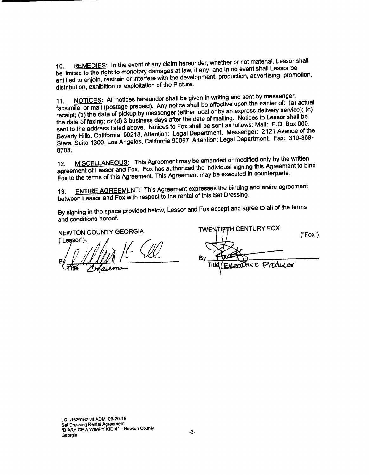10. REMEDIES: In the event of any claim hereunder, whether or not material, Lessor shall<br>be limited to the right to monetary damages at law, if any, and in no event shall Lessor be be limited to the right to monetary damages at law, if any, and in noduction advertising promo entitled to enjoin, restrain or interfere with the development, production, advertising, promotion, promotion, distribution, exhibition or exploitation of the Picture.

11. NOTICES: All notices hereunder shall be given in writing and sent by messenger,<br>facsimile, or mail (postage prepaid). Any notice shall be effective upon the earlier of: (a) actual receipt; (b) the date of pickup by messenger (either local or by an express delivery service); (c)<br>the date of faxing; or (d) 3 business days after the date of mailing. Notices to Lessor shall be the date of faxing; or (d) 3 business days after the date of maintage follows: Mail:  $P.O.$  Box 900. sent to the address listed above. Notices to Fox shall be sent as follows: 1991 Avenue of the Beverly Hills, California 90213, Attention: Legal Department. Messenger: 2121 Avenue of the<br>Stars, Suite 1300, Los Angeles, California 90067, Attention: Legal Department. Fax: 310-369-8703.

12. MISCELLANEOUS: This Agreement may be amended or modified only by the written agreement of Lessor and Fox. Fox has authorized the individual signing this Agreement to bind Fox to the terms of this Agreement. This Agreement may be executed in counterparts.

13. ENTIRE AGREEMENT: This Agreement expresses the binding and entire agreement between Lessor and Fox with respect to the rental of this Set Dressing.

By signing in the space provided below, Lessor and Fox accept and agree to all of the terms and conditions hereof.

("Lessor") By  $M/MMP$   $\sim$  By

NEWTON COUNTY GEORGIA TWENTIFTH CENTURY FOX Fox")  $Titld$  $(Exccutve$ Producer